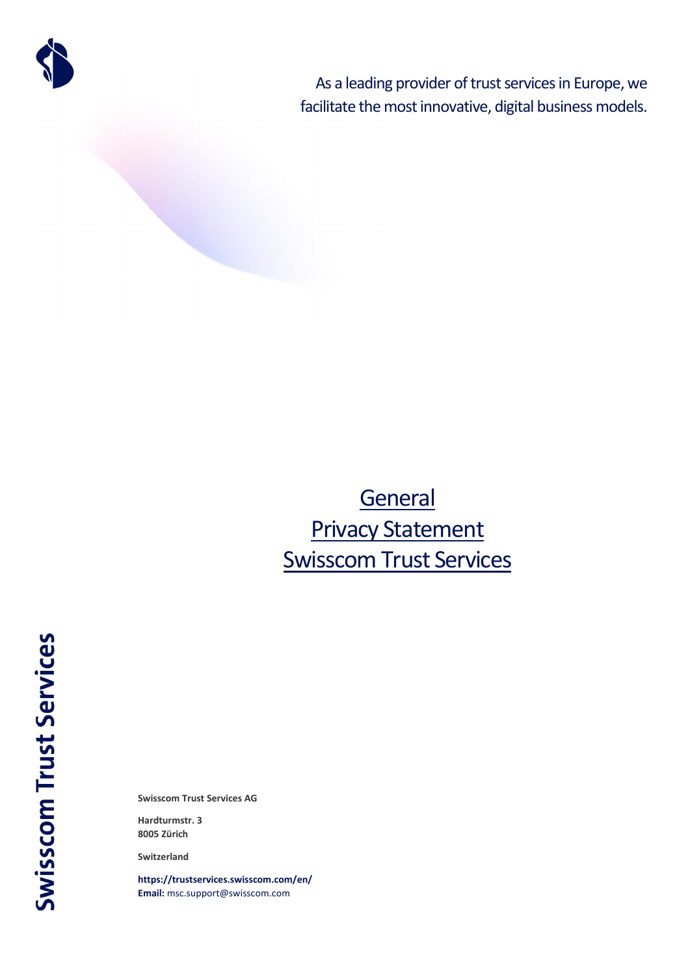

As a leading provider of trust services in Europe, we facilitate the most innovative, digital business models.

# **General** Privacy Statement Swisscom Trust Services

**Swisscom Trust Services** 

**Swisscom Trust Services AG**

**Hardturmstr. 3 8005 Zürich**

**Switzerland**

**<https://trustservices.swisscom.com/en/> Email:** [msc.support@swisscom.com](mailto:msc.support@swisscom.com)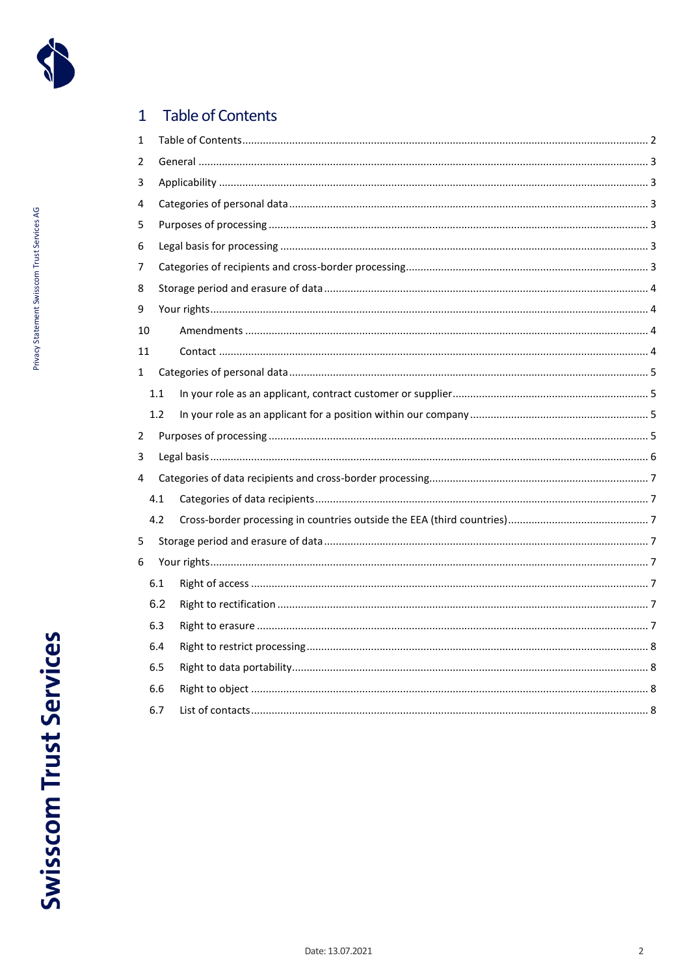

#### <span id="page-1-0"></span>Table of Contents  $\overline{1}$

| 1           |     |  |  |  |  |
|-------------|-----|--|--|--|--|
| 2           |     |  |  |  |  |
| 3           |     |  |  |  |  |
| 4           |     |  |  |  |  |
| 5           |     |  |  |  |  |
| 6           |     |  |  |  |  |
| 7           |     |  |  |  |  |
| 8           |     |  |  |  |  |
| 9           |     |  |  |  |  |
| 10          |     |  |  |  |  |
| 11          |     |  |  |  |  |
| $\mathbf 1$ |     |  |  |  |  |
|             | 1.1 |  |  |  |  |
|             | 1.2 |  |  |  |  |
| 2           |     |  |  |  |  |
| 3           |     |  |  |  |  |
| 4           |     |  |  |  |  |
|             | 4.1 |  |  |  |  |
|             | 4.2 |  |  |  |  |
| 5           |     |  |  |  |  |
| 6           |     |  |  |  |  |
|             | 6.1 |  |  |  |  |
|             | 6.2 |  |  |  |  |
|             | 6.3 |  |  |  |  |
|             | 6.4 |  |  |  |  |
|             | 6.5 |  |  |  |  |
|             | 6.6 |  |  |  |  |
|             | 6.7 |  |  |  |  |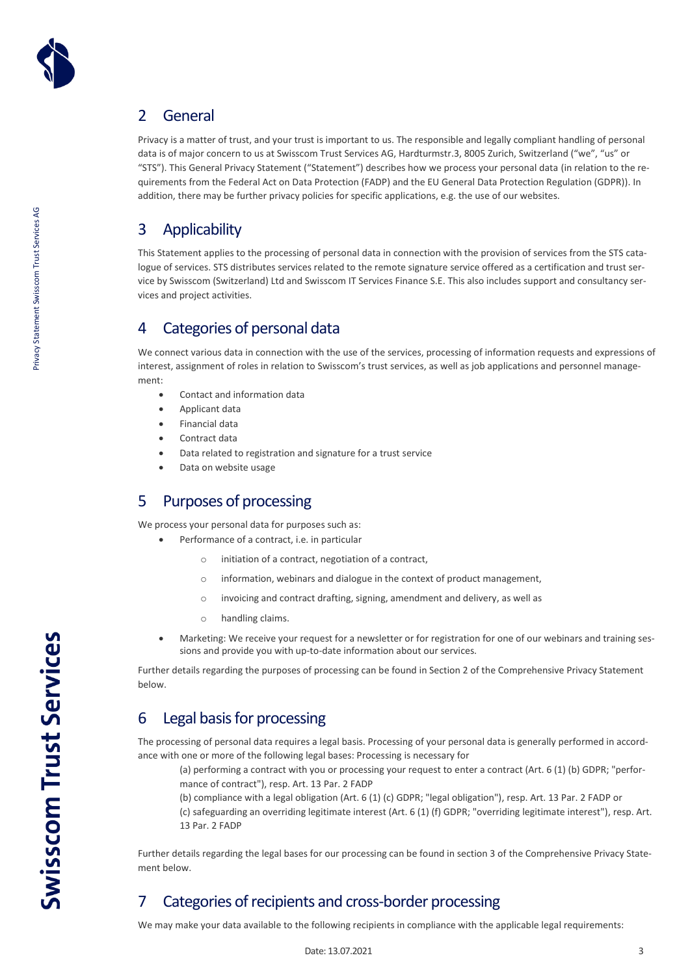

# <span id="page-2-0"></span>2 General

Privacy is a matter of trust, and your trust is important to us. The responsible and legally compliant handling of personal data is of major concern to us at Swisscom Trust Services AG, Hardturmstr.3, 8005 Zurich, Switzerland ("we", "us" or "STS"). This General Privacy Statement ("Statement") describes how we process your personal data (in relation to the requirements from the Federal Act on Data Protection (FADP) and the EU General Data Protection Regulation (GDPR)). In addition, there may be further privacy policies for specific applications, e.g. the use of our websites.

# <span id="page-2-1"></span>3 Applicability

This Statement applies to the processing of personal data in connection with the provision of services from the STS catalogue of services. STS distributes services related to the remote signature service offered as a certification and trust service by Swisscom (Switzerland) Ltd and Swisscom IT Services Finance S.E. This also includes support and consultancy services and project activities.

# <span id="page-2-2"></span>4 Categories of personal data

We connect various data in connection with the use of the services, processing of information requests and expressions of interest, assignment of roles in relation to Swisscom's trust services, as well as job applications and personnel management:

- Contact and information data
- Applicant data
- Financial data
- Contract data
- Data related to registration and signature for a trust service
- Data on website usage

# <span id="page-2-3"></span>5 Purposes of processing

We process your personal data for purposes such as:

- Performance of a contract, i.e. in particular
	- o initiation of a contract, negotiation of a contract,
	- o information, webinars and dialogue in the context of product management,
	- o invoicing and contract drafting, signing, amendment and delivery, as well as
	- o handling claims.
- Marketing: We receive your request for a newsletter or for registration for one of our webinars and training sessions and provide you with up-to-date information about our services.

Further details regarding the purposes of processing can be found in Section 2 of the Comprehensive Privacy Statement below.

### <span id="page-2-4"></span>6 Legal basis for processing

The processing of personal data requires a legal basis. Processing of your personal data is generally performed in accordance with one or more of the following legal bases: Processing is necessary for

(a) performing a contract with you or processing your request to enter a contract (Art. 6 (1) (b) GDPR; "performance of contract"), resp. Art. 13 Par. 2 FADP

(b) compliance with a legal obligation (Art. 6 (1) (c) GDPR; "legal obligation"), resp. Art. 13 Par. 2 FADP or (c) safeguarding an overriding legitimate interest (Art. 6 (1) (f) GDPR; "overriding legitimate interest"), resp. Art. 13 Par. 2 FADP

Further details regarding the legal bases for our processing can be found in section 3 of the Comprehensive Privacy Statement below.

# <span id="page-2-5"></span>7 Categories of recipients and cross-border processing

We may make your data available to the following recipients in compliance with the applicable legal requirements: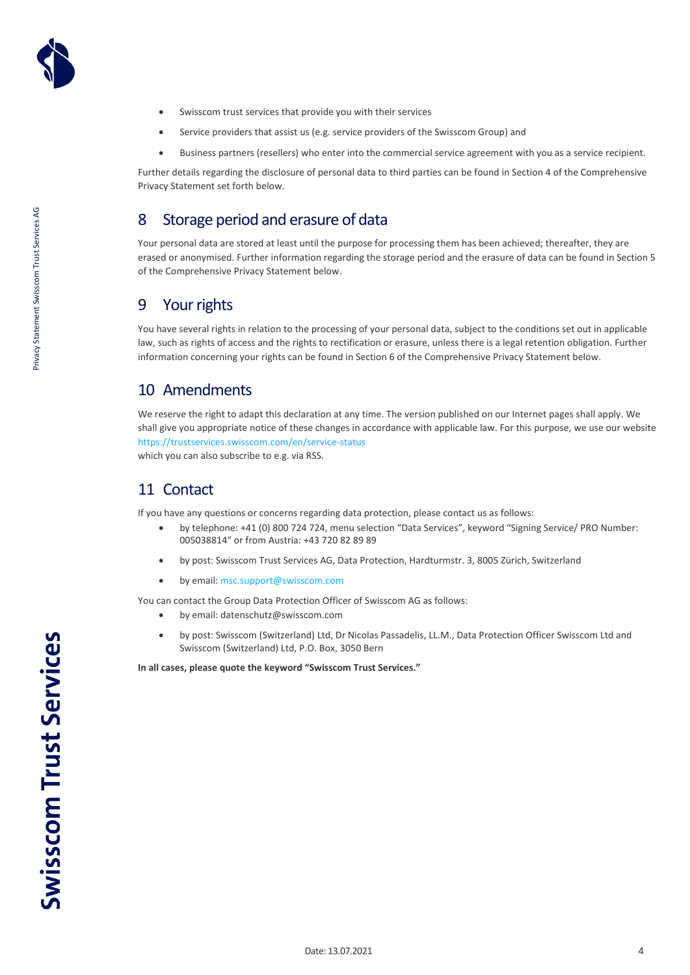

- Swisscom trust services that provide you with their services
- Service providers that assist us (e.g. service providers of the Swisscom Group) and
- Business partners (resellers) who enter into the commercial service agreement with you as a service recipient.

Further details regarding the disclosure of personal data to third parties can be found in Section 4 of the Comprehensive Privacy Statement set forth below.

### <span id="page-3-0"></span>8 Storage period and erasure of data

Your personal data are stored at least until the purpose for processing them has been achieved; thereafter, they are erased or anonymised. Further information regarding the storage period and the erasure of data can be found in Section 5 of the Comprehensive Privacy Statement below.

### <span id="page-3-1"></span>9 Your rights

You have several rights in relation to the processing of your personal data, subject to the conditions set out in applicable law, such as rights of access and the rights to rectification or erasure, unless there is a legal retention obligation. Further information concerning your rights can be found in Section 6 of the Comprehensive Privacy Statement below.

### <span id="page-3-2"></span>10 Amendments

We reserve the right to adapt this declaration at any time. The version published on our Internet pages shall apply. We shall give you appropriate notice of these changes in accordance with applicable law. For this purpose, we use our website <https://trustservices.swisscom.com/en/service-status> which you can also subscribe to e.g. via RSS.

### <span id="page-3-3"></span>11 Contact

If you have any questions or concerns regarding data protection, please contact us as follows:

- by telephone: +41 (0) 800 724 724, menu selection "Data Services", keyword "Signing Service/ PRO Number: 005038814" or from Austria: +43 720 82 89 89
- by post: Swisscom Trust Services AG, Data Protection, Hardturmstr. 3, 8005 Zürich, Switzerland
- by email[: msc.support@swisscom.com](mailto:msc.support@swisscom.com)

You can contact the Group Data Protection Officer of Swisscom AG as follows:

- by email: datenschutz@swisscom.com
- by post: Swisscom (Switzerland) Ltd, Dr Nicolas Passadelis, LL.M., Data Protection Officer Swisscom Ltd and Swisscom (Switzerland) Ltd, P.O. Box, 3050 Bern

**In all cases, please quote the keyword "Swisscom Trust Services."**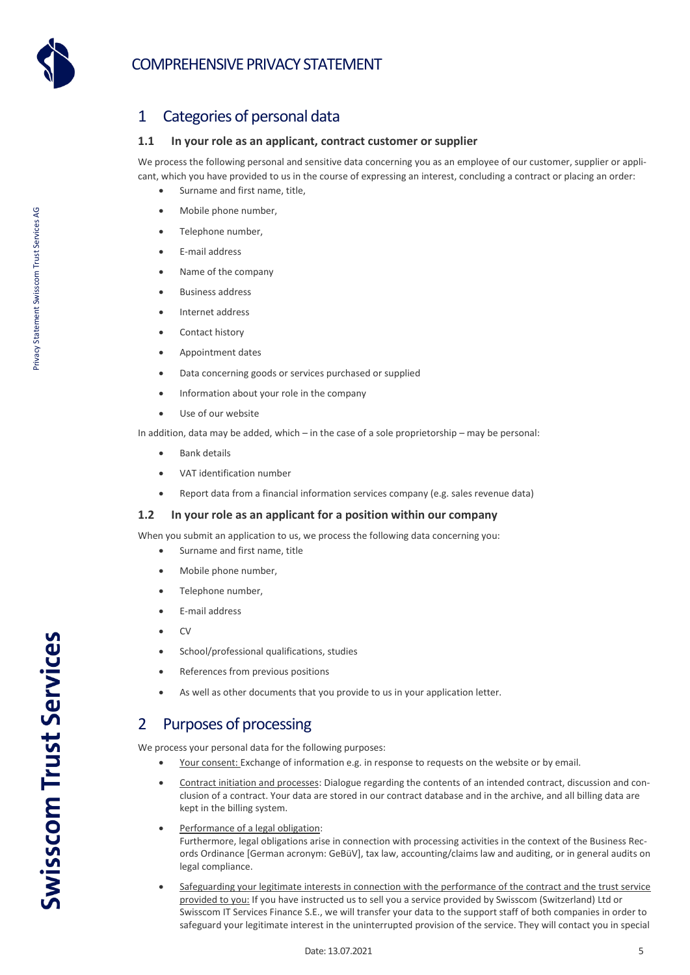# COMPREHENSIVE PRIVACY STATEMENT



Privacy Statement Swisscom Trust Services AG

Privacy Statement Swisscom Trust Services AG

# <span id="page-4-0"></span>1 Categories of personal data

### <span id="page-4-1"></span>**1.1 In your role as an applicant, contract customer or supplier**

We process the following personal and sensitive data concerning you as an employee of our customer, supplier or applicant, which you have provided to us in the course of expressing an interest, concluding a contract or placing an order:

- Surname and first name, title,
- Mobile phone number,
- Telephone number.
- E-mail address
- Name of the company
- Business address
- Internet address
- Contact history
- Appointment dates
- Data concerning goods or services purchased or supplied
- Information about your role in the company
- Use of our website

In addition, data may be added, which – in the case of a sole proprietorship – may be personal:

- Bank details
- VAT identification number
- Report data from a financial information services company (e.g. sales revenue data)

#### <span id="page-4-2"></span>**1.2 In your role as an applicant for a position within our company**

When you submit an application to us, we process the following data concerning you:

- Surname and first name, title
- Mobile phone number,
- Telephone number,
- E-mail address
- $\bullet$  CV
- School/professional qualifications, studies
- References from previous positions
- As well as other documents that you provide to us in your application letter.

### <span id="page-4-3"></span>2 Purposes of processing

We process your personal data for the following purposes:

- Your consent: Exchange of information e.g. in response to requests on the website or by email.
- Contract initiation and processes: Dialogue regarding the contents of an intended contract, discussion and conclusion of a contract. Your data are stored in our contract database and in the archive, and all billing data are kept in the billing system.
- Performance of a legal obligation: Furthermore, legal obligations arise in connection with processing activities in the context of the Business Records Ordinance [German acronym: GeBüV], tax law, accounting/claims law and auditing, or in general audits on legal compliance.
- Safeguarding your legitimate interests in connection with the performance of the contract and the trust service provided to you: If you have instructed us to sell you a service provided by Swisscom (Switzerland) Ltd or Swisscom IT Services Finance S.E., we will transfer your data to the support staff of both companies in order to safeguard your legitimate interest in the uninterrupted provision of the service. They will contact you in special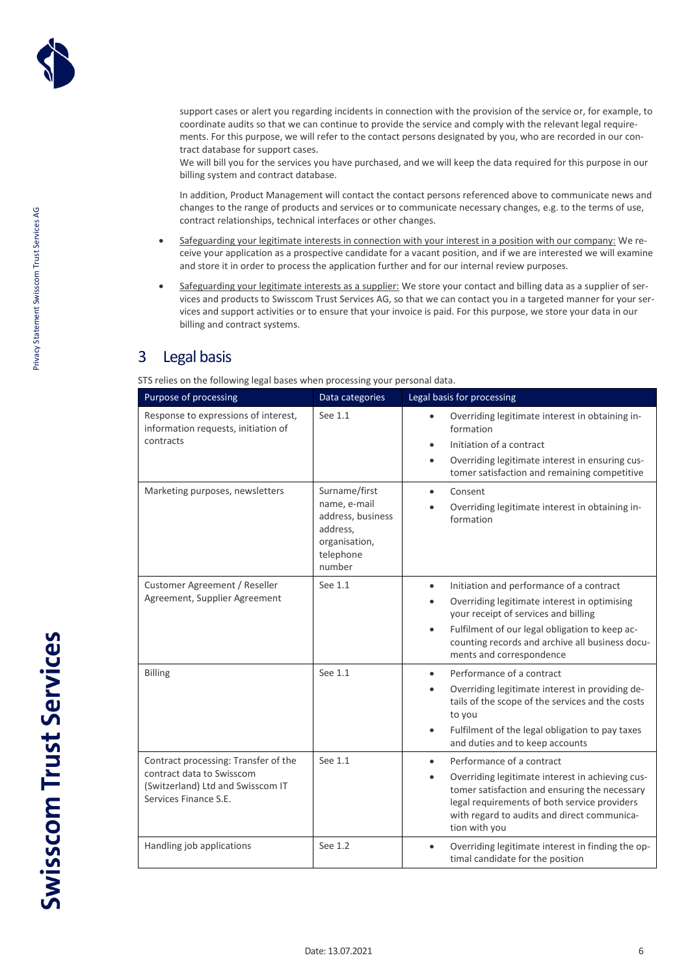Privacy Statement Swisscom Trust Services AG

Privacy Statement Swisscom Trust Services AG

support cases or alert you regarding incidents in connection with the provision of the service or, for example, to coordinate audits so that we can continue to provide the service and comply with the relevant legal requirements. For this purpose, we will refer to the contact persons designated by you, who are recorded in our contract database for support cases.

We will bill you for the services you have purchased, and we will keep the data required for this purpose in our billing system and contract database.

In addition, Product Management will contact the contact persons referenced above to communicate news and changes to the range of products and services or to communicate necessary changes, e.g. to the terms of use, contract relationships, technical interfaces or other changes.

- Safeguarding your legitimate interests in connection with your interest in a position with our company: We receive your application as a prospective candidate for a vacant position, and if we are interested we will examine and store it in order to process the application further and for our internal review purposes.
- Safeguarding your legitimate interests as a supplier: We store your contact and billing data as a supplier of services and products to Swisscom Trust Services AG, so that we can contact you in a targeted manner for your services and support activities or to ensure that your invoice is paid. For this purpose, we store your data in our billing and contract systems.

### <span id="page-5-0"></span>3 Legal basis

STS relies on the following legal bases when processing your personal data.

| Purpose of processing                                                                                                           | Data categories                                                                                        | Legal basis for processing                                                                                                                                                                                                                                                                               |
|---------------------------------------------------------------------------------------------------------------------------------|--------------------------------------------------------------------------------------------------------|----------------------------------------------------------------------------------------------------------------------------------------------------------------------------------------------------------------------------------------------------------------------------------------------------------|
| Response to expressions of interest,<br>information requests, initiation of<br>contracts                                        | See 1.1                                                                                                | Overriding legitimate interest in obtaining in-<br>formation<br>Initiation of a contract<br>$\bullet$<br>Overriding legitimate interest in ensuring cus-<br>$\bullet$<br>tomer satisfaction and remaining competitive                                                                                    |
| Marketing purposes, newsletters                                                                                                 | Surname/first<br>name, e-mail<br>address, business<br>address,<br>organisation,<br>telephone<br>number | Consent<br>$\bullet$<br>Overriding legitimate interest in obtaining in-<br>$\bullet$<br>formation                                                                                                                                                                                                        |
| Customer Agreement / Reseller<br>Agreement, Supplier Agreement                                                                  | See 1.1                                                                                                | Initiation and performance of a contract<br>$\bullet$<br>Overriding legitimate interest in optimising<br>$\bullet$<br>your receipt of services and billing<br>Fulfilment of our legal obligation to keep ac-<br>$\bullet$<br>counting records and archive all business docu-<br>ments and correspondence |
| <b>Billing</b>                                                                                                                  | See 1.1                                                                                                | Performance of a contract<br>$\bullet$<br>Overriding legitimate interest in providing de-<br>$\bullet$<br>tails of the scope of the services and the costs<br>to you<br>Fulfilment of the legal obligation to pay taxes<br>$\bullet$<br>and duties and to keep accounts                                  |
| Contract processing: Transfer of the<br>contract data to Swisscom<br>(Switzerland) Ltd and Swisscom IT<br>Services Finance S.E. | See 1.1                                                                                                | Performance of a contract<br>$\bullet$<br>Overriding legitimate interest in achieving cus-<br>$\bullet$<br>tomer satisfaction and ensuring the necessary<br>legal requirements of both service providers<br>with regard to audits and direct communica-<br>tion with you                                 |
| Handling job applications                                                                                                       | See 1.2                                                                                                | Overriding legitimate interest in finding the op-<br>$\bullet$<br>timal candidate for the position                                                                                                                                                                                                       |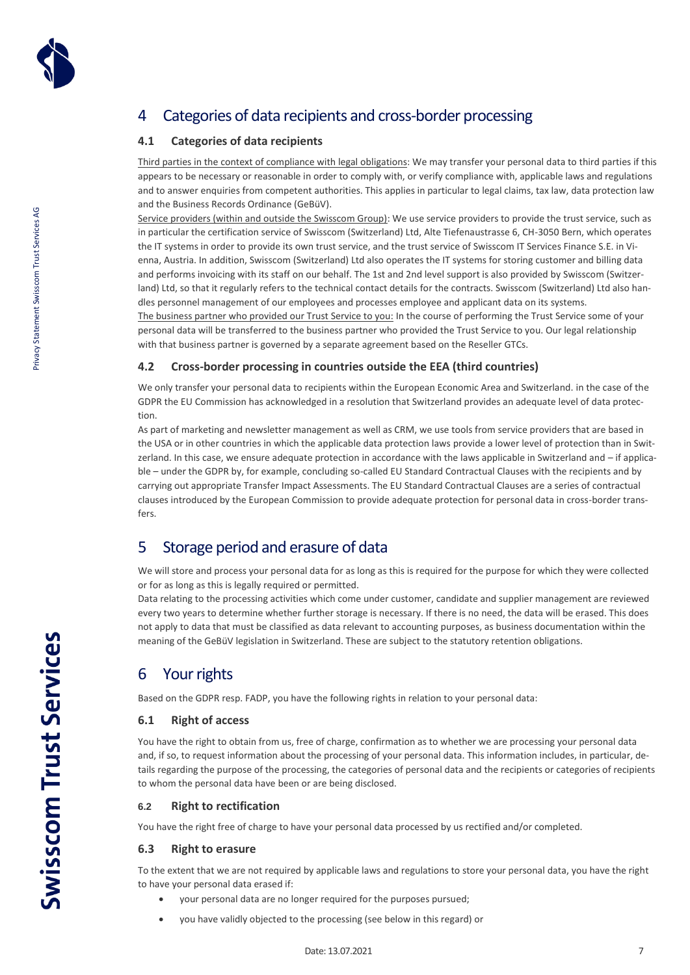

# <span id="page-6-0"></span>4 Categories of data recipients and cross-border processing

### <span id="page-6-1"></span>**4.1 Categories of data recipients**

Third parties in the context of compliance with legal obligations: We may transfer your personal data to third parties if this appears to be necessary or reasonable in order to comply with, or verify compliance with, applicable laws and regulations and to answer enquiries from competent authorities. This applies in particular to legal claims, tax law, data protection law and the Business Records Ordinance (GeBüV).

Service providers (within and outside the Swisscom Group): We use service providers to provide the trust service, such as in particular the certification service of Swisscom (Switzerland) Ltd, Alte Tiefenaustrasse 6, CH-3050 Bern, which operates the IT systems in order to provide its own trust service, and the trust service of Swisscom IT Services Finance S.E. in Vienna, Austria. In addition, Swisscom (Switzerland) Ltd also operates the IT systems for storing customer and billing data and performs invoicing with its staff on our behalf. The 1st and 2nd level support is also provided by Swisscom (Switzerland) Ltd, so that it regularly refers to the technical contact details for the contracts. Swisscom (Switzerland) Ltd also handles personnel management of our employees and processes employee and applicant data on its systems.

The business partner who provided our Trust Service to you: In the course of performing the Trust Service some of your personal data will be transferred to the business partner who provided the Trust Service to you. Our legal relationship with that business partner is governed by a separate agreement based on the Reseller GTCs.

### <span id="page-6-2"></span>**4.2 Cross-border processing in countries outside the EEA (third countries)**

We only transfer your personal data to recipients within the European Economic Area and Switzerland. in the case of the GDPR the EU Commission has acknowledged in a resolution that Switzerland provides an adequate level of data protection.

As part of marketing and newsletter management as well as CRM, we use tools from service providers that are based in the USA or in other countries in which the applicable data protection laws provide a lower level of protection than in Switzerland. In this case, we ensure adequate protection in accordance with the laws applicable in Switzerland and – if applicable – under the GDPR by, for example, concluding so-called EU Standard Contractual Clauses with the recipients and by carrying out appropriate Transfer Impact Assessments. The EU Standard Contractual Clauses are a series of contractual clauses introduced by the European Commission to provide adequate protection for personal data in cross-border transfers.

### <span id="page-6-3"></span>5 Storage period and erasure of data

We will store and process your personal data for as long as this is required for the purpose for which they were collected or for as long as this is legally required or permitted.

Data relating to the processing activities which come under customer, candidate and supplier management are reviewed every two years to determine whether further storage is necessary. If there is no need, the data will be erased. This does not apply to data that must be classified as data relevant to accounting purposes, as business documentation within the meaning of the GeBüV legislation in Switzerland. These are subject to the statutory retention obligations.

### <span id="page-6-4"></span>6 Your rights

Based on the GDPR resp. FADP, you have the following rights in relation to your personal data:

### <span id="page-6-5"></span>**6.1 Right of access**

You have the right to obtain from us, free of charge, confirmation as to whether we are processing your personal data and, if so, to request information about the processing of your personal data. This information includes, in particular, details regarding the purpose of the processing, the categories of personal data and the recipients or categories of recipients to whom the personal data have been or are being disclosed.

#### <span id="page-6-6"></span>**6.2 Right to rectification**

You have the right free of charge to have your personal data processed by us rectified and/or completed.

#### <span id="page-6-7"></span>**6.3 Right to erasure**

To the extent that we are not required by applicable laws and regulations to store your personal data, you have the right to have your personal data erased if:

- your personal data are no longer required for the purposes pursued;
- you have validly objected to the processing (see below in this regard) or